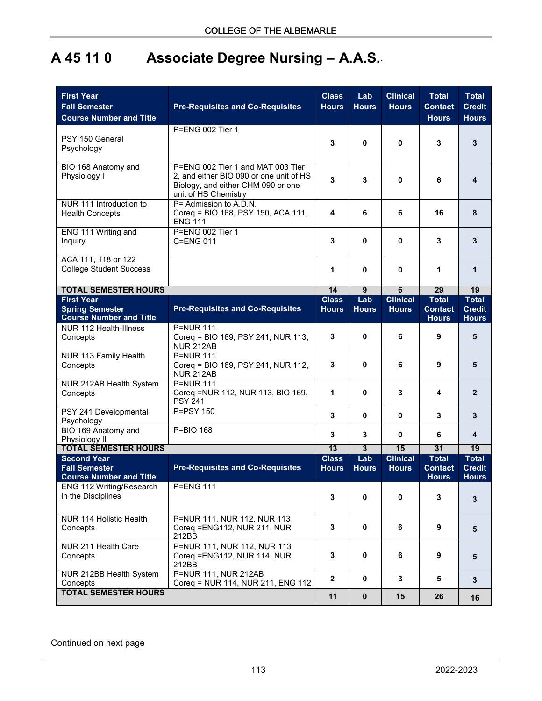## **A 45 11 0 Associate Degree Nursing – A.A.S.**.

| <b>First Year</b><br><b>Fall Semester</b><br><b>Course Number and Title</b>   | <b>Pre-Requisites and Co-Requisites</b>                                                                                                    | <b>Class</b><br><b>Hours</b> | Lab<br><b>Hours</b> | <b>Clinical</b><br><b>Hours</b> | <b>Total</b><br><b>Contact</b><br><b>Hours</b> | <b>Total</b><br><b>Credit</b><br><b>Hours</b> |
|-------------------------------------------------------------------------------|--------------------------------------------------------------------------------------------------------------------------------------------|------------------------------|---------------------|---------------------------------|------------------------------------------------|-----------------------------------------------|
| PSY 150 General<br>Psychology                                                 | P=ENG 002 Tier 1                                                                                                                           | 3                            | 0                   | 0                               | 3                                              | 3                                             |
| BIO 168 Anatomy and<br>Physiology I                                           | P=ENG 002 Tier 1 and MAT 003 Tier<br>2, and either BIO 090 or one unit of HS<br>Biology, and either CHM 090 or one<br>unit of HS Chemistry | 3                            | 3                   | 0                               | 6                                              | 4                                             |
| NUR 111 Introduction to<br><b>Health Concepts</b>                             | P= Admission to A.D.N.<br>Coreq = BIO 168, PSY 150, ACA 111,<br><b>ENG 111</b>                                                             | 4                            | 6                   | 6                               | 16                                             | 8                                             |
| ENG 111 Writing and<br>Inquiry                                                | P=ENG 002 Tier 1<br>C=ENG 011                                                                                                              | 3                            | 0                   | 0                               | 3                                              | 3                                             |
| ACA 111, 118 or 122<br><b>College Student Success</b>                         |                                                                                                                                            | 1                            | 0                   | 0                               | 1                                              | 1                                             |
| <b>TOTAL SEMESTER HOURS</b>                                                   |                                                                                                                                            | 14                           | $\overline{9}$      | $\overline{6}$                  | 29                                             | 19                                            |
| <b>First Year</b><br><b>Spring Semester</b><br><b>Course Number and Title</b> | <b>Pre-Requisites and Co-Requisites</b>                                                                                                    | <b>Class</b><br><b>Hours</b> | Lab<br><b>Hours</b> | <b>Clinical</b><br><b>Hours</b> | <b>Total</b><br><b>Contact</b><br><b>Hours</b> | <b>Total</b><br><b>Credit</b><br><b>Hours</b> |
| NUR 112 Health-Illness<br>Concepts                                            | <b>P=NUR 111</b><br>Coreq = BIO 169, PSY 241, NUR 113,<br><b>NUR 212AB</b>                                                                 | 3                            | 0                   | 6                               | 9                                              | 5                                             |
| NUR 113 Family Health<br>Concepts                                             | <b>P=NUR 111</b><br>Coreq = BIO 169, PSY 241, NUR 112,<br><b>NUR 212AB</b>                                                                 | 3                            | 0                   | 6                               | 9                                              | 5                                             |
| NUR 212AB Health System<br>Concepts                                           | <b>P=NUR 111</b><br>Coreq = NUR 112, NUR 113, BIO 169,<br><b>PSY 241</b>                                                                   | $\mathbf 1$                  | 0                   | 3                               | 4                                              | $\mathbf{2}$                                  |
| PSY 241 Developmental<br>Psychology                                           | P=PSY 150                                                                                                                                  | 3                            | 0                   | 0                               | 3                                              | 3                                             |
| BIO 169 Anatomy and<br>Physiology II                                          | $P = BIO 168$                                                                                                                              | 3                            | 3                   | 0                               | 6                                              | 4                                             |
| <b>TOTAL SEMESTER HOURS</b>                                                   |                                                                                                                                            | $\overline{13}$              | 3                   | 15                              | $\overline{31}$                                | 19                                            |
| <b>Second Year</b><br><b>Fall Semester</b><br><b>Course Number and Title</b>  | <b>Pre-Requisites and Co-Requisites</b>                                                                                                    | <b>Class</b><br><b>Hours</b> | Lab<br><b>Hours</b> | <b>Clinical</b><br><b>Hours</b> | <b>Total</b><br><b>Contact</b><br><b>Hours</b> | <b>Total</b><br><b>Credit</b><br><b>Hours</b> |
| ENG 112 Writing/Research<br>in the Disciplines                                | <b>P=ENG 111</b>                                                                                                                           | 3                            | 0                   | 0                               | 3                                              | 3                                             |
| <b>NUR 114 Holistic Health</b><br>Concepts                                    | P=NUR 111, NUR 112, NUR 113<br>Coreq = ENG112, NUR 211, NUR<br>212BB                                                                       | 3                            | $\mathbf 0$         | 6                               | 9                                              | 5                                             |
| NUR 211 Health Care<br>Concepts                                               | P=NUR 111, NUR 112, NUR 113<br>Coreq = ENG112, NUR 114, NUR<br>212BB                                                                       | 3                            | $\mathbf 0$         | 6                               | 9                                              | 5                                             |
| NUR 212BB Health System<br>Concepts                                           | P=NUR 111, NUR 212AB<br>Coreq = NUR 114, NUR 211, ENG 112                                                                                  | $\overline{2}$               | $\mathbf 0$         | $\mathbf{3}$                    | 5                                              | $\mathbf{3}$                                  |
| <b>TOTAL SEMESTER HOURS</b>                                                   |                                                                                                                                            | 11                           | $\pmb{0}$           | 15                              | 26                                             | 16                                            |

Continued on next page